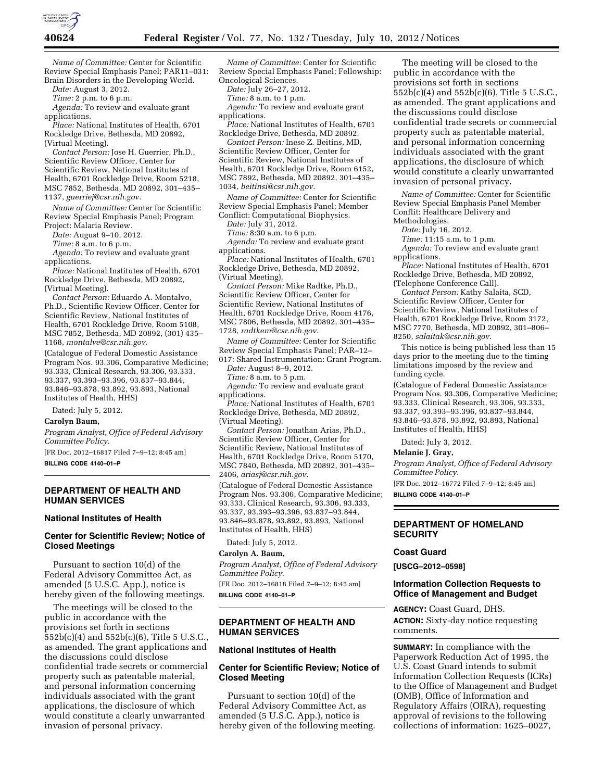

*Name of Committee:* Center for Scientific Review Special Emphasis Panel; PAR11–031: Brain Disorders in the Developing World.

*Date:* August 3, 2012.

*Time:* 2 p.m. to 6 p.m.

*Agenda:* To review and evaluate grant applications.

*Place:* National Institutes of Health, 6701 Rockledge Drive, Bethesda, MD 20892, (Virtual Meeting).

*Contact Person:* Jose H. Guerrier, Ph.D., Scientific Review Officer, Center for Scientific Review, National Institutes of Health, 6701 Rockledge Drive, Room 5218, MSC 7852, Bethesda, MD 20892, 301–435– 1137, *[guerriej@csr.nih.gov.](mailto:guerriej@csr.nih.gov)* 

*Name of Committee:* Center for Scientific Review Special Emphasis Panel; Program Project: Malaria Review.

*Date:* August 9–10, 2012.

*Time:* 8 a.m. to 6 p.m.

*Agenda:* To review and evaluate grant applications.

*Place:* National Institutes of Health, 6701 Rockledge Drive, Bethesda, MD 20892, (Virtual Meeting).

*Contact Person:* Eduardo A. Montalvo, Ph.D., Scientific Review Officer, Center for Scientific Review, National Institutes of Health, 6701 Rockledge Drive, Room 5108, MSC 7852, Bethesda, MD 20892, (301) 435– 1168, *[montalve@csr.nih.gov.](mailto:montalve@csr.nih.gov)* 

(Catalogue of Federal Domestic Assistance Program Nos. 93.306, Comparative Medicine; 93.333, Clinical Research, 93.306, 93.333, 93.337, 93.393–93.396, 93.837–93.844, 93.846–93.878, 93.892, 93.893, National Institutes of Health, HHS)

Dated: July 5, 2012.

### **Carolyn Baum,**

*Program Analyst, Office of Federal Advisory Committee Policy.* 

[FR Doc. 2012–16817 Filed 7–9–12; 8:45 am] **BILLING CODE 4140–01–P** 

### **DEPARTMENT OF HEALTH AND HUMAN SERVICES**

#### **National Institutes of Health**

# **Center for Scientific Review; Notice of Closed Meetings**

Pursuant to section 10(d) of the Federal Advisory Committee Act, as amended (5 U.S.C. App.), notice is hereby given of the following meetings.

The meetings will be closed to the public in accordance with the provisions set forth in sections 552b(c)(4) and 552b(c)(6), Title 5 U.S.C., as amended. The grant applications and the discussions could disclose confidential trade secrets or commercial property such as patentable material, and personal information concerning individuals associated with the grant applications, the disclosure of which would constitute a clearly unwarranted invasion of personal privacy.

*Name of Committee:* Center for Scientific Review Special Emphasis Panel; Fellowship: Oncological Sciences.

*Date:* July 26–27, 2012.

*Time:* 8 a.m. to 1 p.m.

*Agenda:* To review and evaluate grant applications.

*Place:* National Institutes of Health, 6701 Rockledge Drive, Bethesda, MD 20892.

*Contact Person:* Inese Z. Beitins, MD, Scientific Review Officer, Center for Scientific Review, National Institutes of Health, 6701 Rockledge Drive, Room 6152, MSC 7892, Bethesda, MD 20892, 301–435– 1034, *[beitinsi@csr.nih.gov.](mailto:beitinsi@csr.nih.gov)* 

*Name of Committee:* Center for Scientific Review Special Emphasis Panel; Member Conflict: Computational Biophysics.

*Date:* July 31, 2012.

*Time:* 8:30 a.m. to 6 p.m.

*Agenda:* To review and evaluate grant applications.

*Place:* National Institutes of Health, 6701 Rockledge Drive, Bethesda, MD 20892, (Virtual Meeting).

*Contact Person:* Mike Radtke, Ph.D., Scientific Review Officer, Center for Scientific Review, National Institutes of Health, 6701 Rockledge Drive, Room 4176, MSC 7806, Bethesda, MD 20892, 301–435– 1728, *[radtkem@csr.nih.gov.](mailto:radtkem@csr.nih.gov)* 

*Name of Committee:* Center for Scientific Review Special Emphasis Panel; PAR–12– 017: Shared Instrumentation: Grant Program.

*Date:* August 8–9, 2012.

*Time:* 8 a.m. to 5 p.m.

*Agenda:* To review and evaluate grant applications.

*Place:* National Institutes of Health, 6701 Rockledge Drive, Bethesda, MD 20892, (Virtual Meeting).

*Contact Person:* Jonathan Arias, Ph.D., Scientific Review Officer, Center for Scientific Review, National Institutes of Health, 6701 Rockledge Drive, Room 5170, MSC 7840, Bethesda, MD 20892, 301–435– 2406, *[ariasj@csr.nih.gov.](mailto:ariasj@csr.nih.gov)* 

(Catalogue of Federal Domestic Assistance Program Nos. 93.306, Comparative Medicine; 93.333, Clinical Research, 93.306, 93.333, 93.337, 93.393–93.396, 93.837–93.844, 93.846–93.878, 93.892, 93.893, National Institutes of Health, HHS)

Dated: July 5, 2012.

#### **Carolyn A. Baum,**

*Program Analyst, Office of Federal Advisory Committee Policy.* 

[FR Doc. 2012–16818 Filed 7–9–12; 8:45 am] **BILLING CODE 4140–01–P** 

## **DEPARTMENT OF HEALTH AND HUMAN SERVICES**

#### **National Institutes of Health**

### **Center for Scientific Review; Notice of Closed Meeting**

Pursuant to section 10(d) of the Federal Advisory Committee Act, as amended (5 U.S.C. App.), notice is hereby given of the following meeting.

The meeting will be closed to the public in accordance with the provisions set forth in sections 552b(c)(4) and 552b(c)(6), Title 5 U.S.C., as amended. The grant applications and the discussions could disclose confidential trade secrets or commercial property such as patentable material, and personal information concerning individuals associated with the grant applications, the disclosure of which would constitute a clearly unwarranted invasion of personal privacy.

*Name of Committee:* Center for Scientific Review Special Emphasis Panel Member Conflit: Healthcare Delivery and Methodologies.

*Date:* July 16, 2012.

*Time:* 11:15 a.m. to 1 p.m.

*Agenda:* To review and evaluate grant applications.

*Place:* National Institutes of Health, 6701 Rockledge Drive, Bethesda, MD 20892, (Telephone Conference Call).

*Contact Person:* Kathy Salaita, SCD, Scientific Review Officer, Center for Scientific Review, National Institutes of Health, 6701 Rockledge Drive, Room 3172, MSC 7770, Bethesda, MD 20892, 301–806– 8250, *[salaitak@csr.nih.gov.](mailto:salaitak@csr.nih.gov)* 

This notice is being published less than 15 days prior to the meeting due to the timing limitations imposed by the review and funding cycle.

(Catalogue of Federal Domestic Assistance Program Nos. 93.306, Comparative Medicine; 93.333, Clinical Research, 93.306, 93.333, 93.337, 93.393–93.396, 93.837–93.844, 93.846–93.878, 93.892, 93.893, National Institutes of Health, HHS)

Dated: July 3, 2012.

#### **Melanie J. Gray,**

*Program Analyst, Office of Federal Advisory Committee Policy.* 

[FR Doc. 2012–16772 Filed 7–9–12; 8:45 am]

**BILLING CODE 4140–01–P** 

## **DEPARTMENT OF HOMELAND SECURITY**

#### **Coast Guard**

**[USCG–2012–0598]** 

### **Information Collection Requests to Office of Management and Budget**

**AGENCY:** Coast Guard, DHS. **ACTION:** Sixty-day notice requesting comments.

**SUMMARY:** In compliance with the Paperwork Reduction Act of 1995, the U.S. Coast Guard intends to submit Information Collection Requests (ICRs) to the Office of Management and Budget (OMB), Office of Information and Regulatory Affairs (OIRA), requesting approval of revisions to the following collections of information: 1625–0027,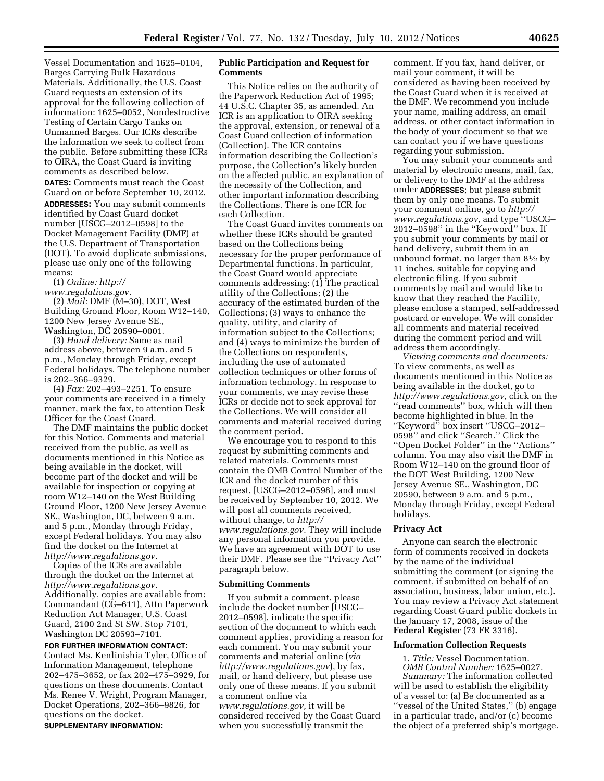Vessel Documentation and 1625–0104, Barges Carrying Bulk Hazardous Materials. Additionally, the U.S. Coast Guard requests an extension of its approval for the following collection of information: 1625–0052, Nondestructive Testing of Certain Cargo Tanks on Unmanned Barges. Our ICRs describe the information we seek to collect from the public. Before submitting these ICRs to OIRA, the Coast Guard is inviting comments as described below.

**DATES:** Comments must reach the Coast Guard on or before September 10, 2012. **ADDRESSES:** You may submit comments identified by Coast Guard docket number [USCG–2012–0598] to the Docket Management Facility (DMF) at the U.S. Department of Transportation (DOT). To avoid duplicate submissions, please use only one of the following means:

(1) *Online: [http://](http://www.regulations.gov) [www.regulations.gov.](http://www.regulations.gov)* 

(2) *Mail:* DMF (M–30), DOT, West Building Ground Floor, Room W12–140, 1200 New Jersey Avenue SE., Washington, DC 20590–0001.

(3) *Hand delivery:* Same as mail address above, between 9 a.m. and 5 p.m., Monday through Friday, except Federal holidays. The telephone number is 202–366–9329.

(4) *Fax:* 202–493–2251. To ensure your comments are received in a timely manner, mark the fax, to attention Desk Officer for the Coast Guard.

The DMF maintains the public docket for this Notice. Comments and material received from the public, as well as documents mentioned in this Notice as being available in the docket, will become part of the docket and will be available for inspection or copying at room W12–140 on the West Building Ground Floor, 1200 New Jersey Avenue SE., Washington, DC, between 9 a.m. and 5 p.m., Monday through Friday, except Federal holidays. You may also find the docket on the Internet at *[http://www.regulations.gov.](http://www.regulations.gov)* 

Copies of the ICRs are available through the docket on the Internet at *[http://www.regulations.gov.](http://www.regulations.gov)*  Additionally, copies are available from: Commandant (CG–611), Attn Paperwork Reduction Act Manager, U.S. Coast Guard, 2100 2nd St SW. Stop 7101, Washington DC 20593–7101.

**FOR FURTHER INFORMATION CONTACT:**  Contact Ms. Kenlinishia Tyler, Office of Information Management, telephone 202–475–3652, or fax 202–475–3929, for questions on these documents. Contact Ms. Renee V. Wright, Program Manager, Docket Operations, 202–366–9826, for questions on the docket. **SUPPLEMENTARY INFORMATION:** 

## **Public Participation and Request for Comments**

This Notice relies on the authority of the Paperwork Reduction Act of 1995; 44 U.S.C. Chapter 35, as amended. An ICR is an application to OIRA seeking the approval, extension, or renewal of a Coast Guard collection of information (Collection). The ICR contains information describing the Collection's purpose, the Collection's likely burden on the affected public, an explanation of the necessity of the Collection, and other important information describing the Collections. There is one ICR for each Collection.

The Coast Guard invites comments on whether these ICRs should be granted based on the Collections being necessary for the proper performance of Departmental functions. In particular, the Coast Guard would appreciate comments addressing: (1) The practical utility of the Collections; (2) the accuracy of the estimated burden of the Collections; (3) ways to enhance the quality, utility, and clarity of information subject to the Collections; and (4) ways to minimize the burden of the Collections on respondents, including the use of automated collection techniques or other forms of information technology. In response to your comments, we may revise these ICRs or decide not to seek approval for the Collections. We will consider all comments and material received during the comment period.

We encourage you to respond to this request by submitting comments and related materials. Comments must contain the OMB Control Number of the ICR and the docket number of this request, [USCG–2012–0598], and must be received by September 10, 2012. We will post all comments received, without change, to *[http://](http://www.regulations.gov)  [www.regulations.gov.](http://www.regulations.gov)* They will include any personal information you provide. We have an agreement with DOT to use their DMF. Please see the ''Privacy Act'' paragraph below.

#### **Submitting Comments**

If you submit a comment, please include the docket number [USCG– 2012–0598], indicate the specific section of the document to which each comment applies, providing a reason for each comment. You may submit your comments and material online (*via <http://www.regulations.gov>*), by fax, mail, or hand delivery, but please use only one of these means. If you submit a comment online via *[www.regulations.gov,](http://www.regulations.gov)* it will be considered received by the Coast Guard when you successfully transmit the

comment. If you fax, hand deliver, or mail your comment, it will be considered as having been received by the Coast Guard when it is received at the DMF. We recommend you include your name, mailing address, an email address, or other contact information in the body of your document so that we can contact you if we have questions regarding your submission.

You may submit your comments and material by electronic means, mail, fax, or delivery to the DMF at the address under **ADDRESSES**; but please submit them by only one means. To submit your comment online, go to *[http://](http://www.regulations.gov)  [www.regulations.gov,](http://www.regulations.gov)* and type ''USCG– 2012–0598'' in the ''Keyword'' box. If you submit your comments by mail or hand delivery, submit them in an unbound format, no larger than  $8\frac{1}{2}$  by 11 inches, suitable for copying and electronic filing. If you submit comments by mail and would like to know that they reached the Facility, please enclose a stamped, self-addressed postcard or envelope. We will consider all comments and material received during the comment period and will address them accordingly.

*Viewing comments and documents:*  To view comments, as well as documents mentioned in this Notice as being available in the docket, go to *[http://www.regulations.gov,](http://www.regulations.gov)* click on the ''read comments'' box, which will then become highlighted in blue. In the ''Keyword'' box insert ''USCG–2012– 0598'' and click ''Search.'' Click the ''Open Docket Folder'' in the ''Actions'' column. You may also visit the DMF in Room W12–140 on the ground floor of the DOT West Building, 1200 New Jersey Avenue SE., Washington, DC 20590, between 9 a.m. and 5 p.m., Monday through Friday, except Federal holidays.

#### **Privacy Act**

Anyone can search the electronic form of comments received in dockets by the name of the individual submitting the comment (or signing the comment, if submitted on behalf of an association, business, labor union, etc.). You may review a Privacy Act statement regarding Coast Guard public dockets in the January 17, 2008, issue of the **Federal Register** (73 FR 3316).

#### **Information Collection Requests**

1. *Title:* Vessel Documentation. *OMB Control Number:* 1625–0027. *Summary:* The information collected will be used to establish the eligibility of a vessel to: (a) Be documented as a ''vessel of the United States,'' (b) engage in a particular trade, and/or (c) become the object of a preferred ship's mortgage.